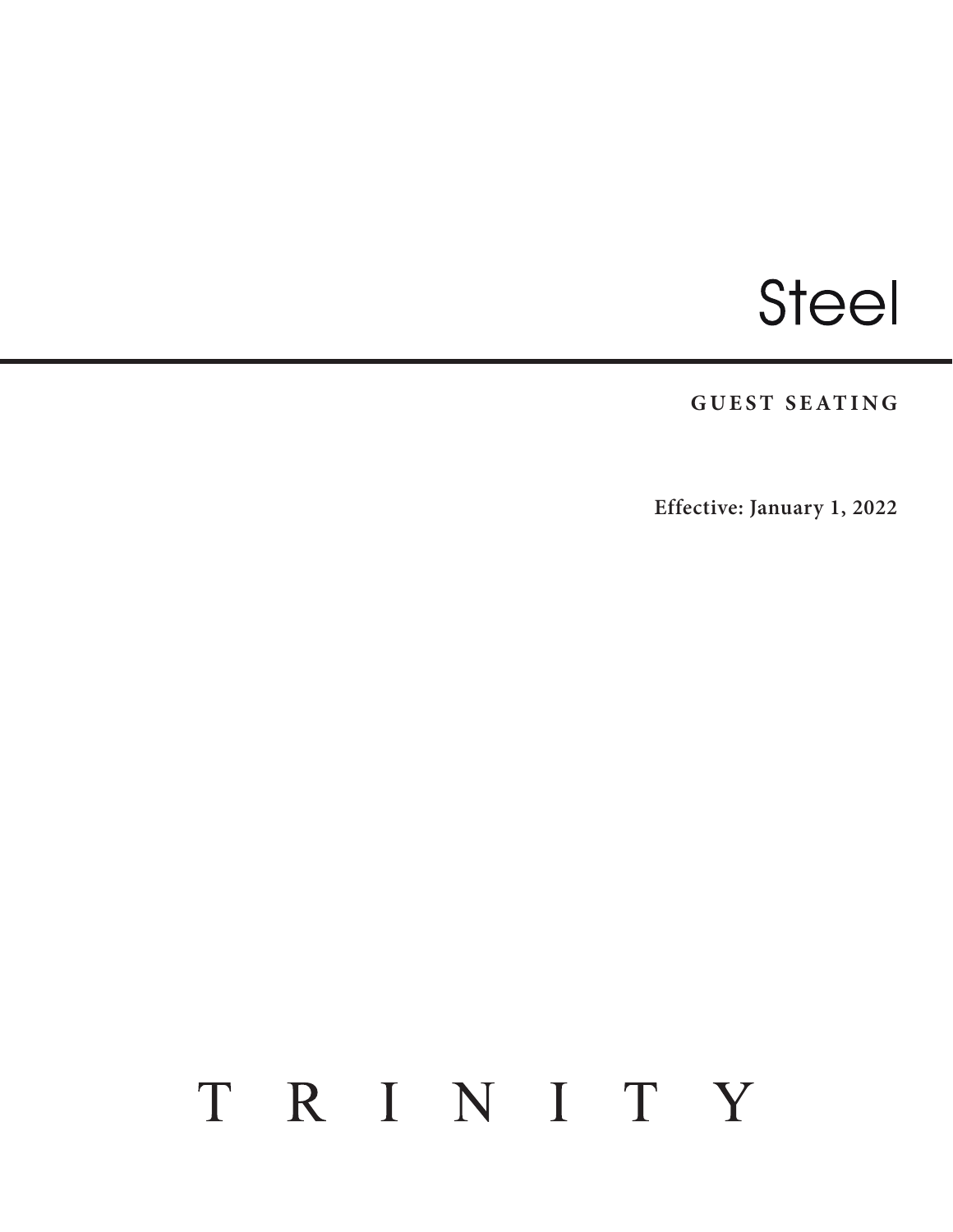# Steel

**GUEST SEATING**

**Effective: January 1, 2022**

## TRINITY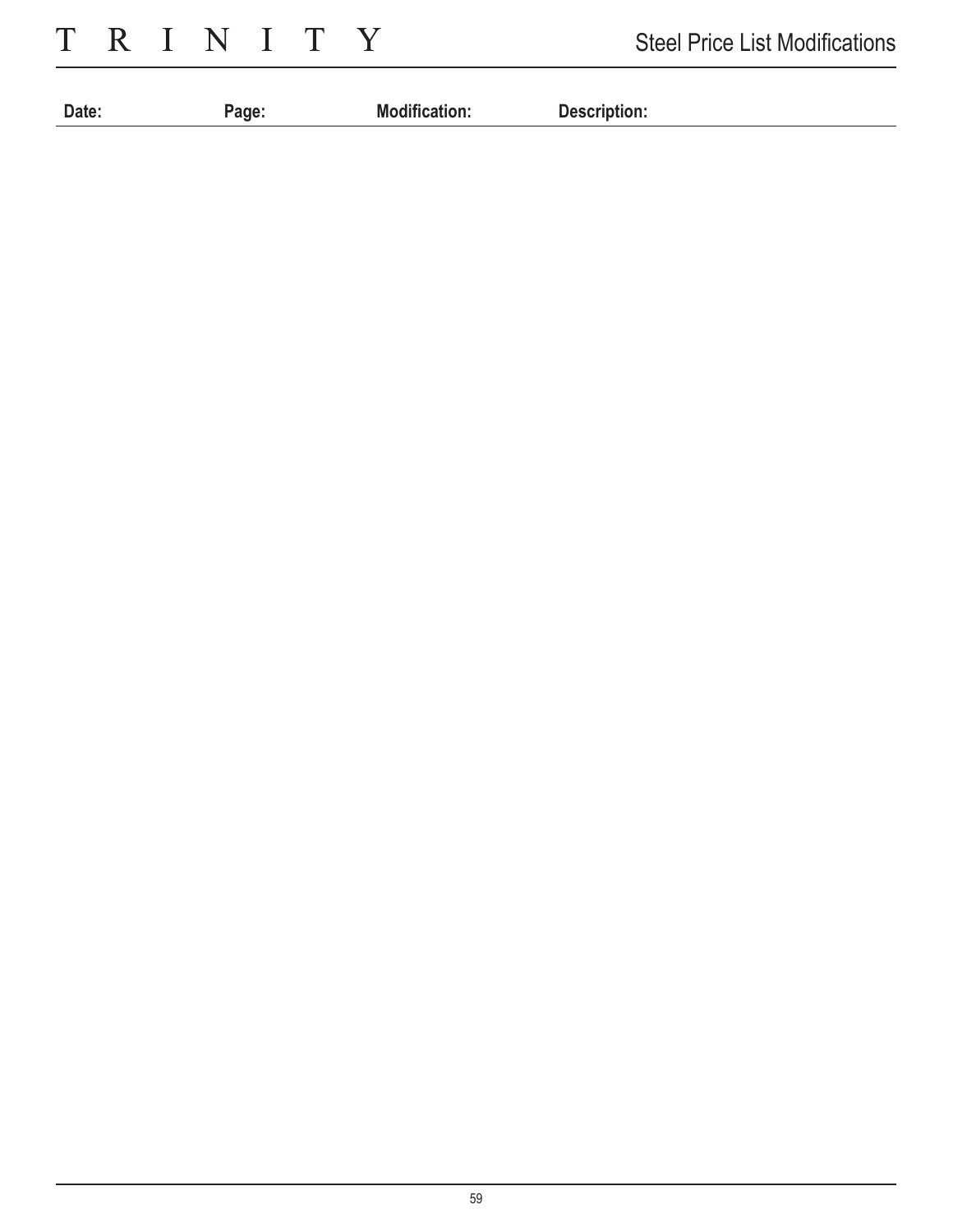TRINITY

| Date: | анг | $\mathbf{r}$<br>Мc<br><b>ancauon.</b><br>. | Description:<br>. |
|-------|-----|--------------------------------------------|-------------------|
|       |     |                                            |                   |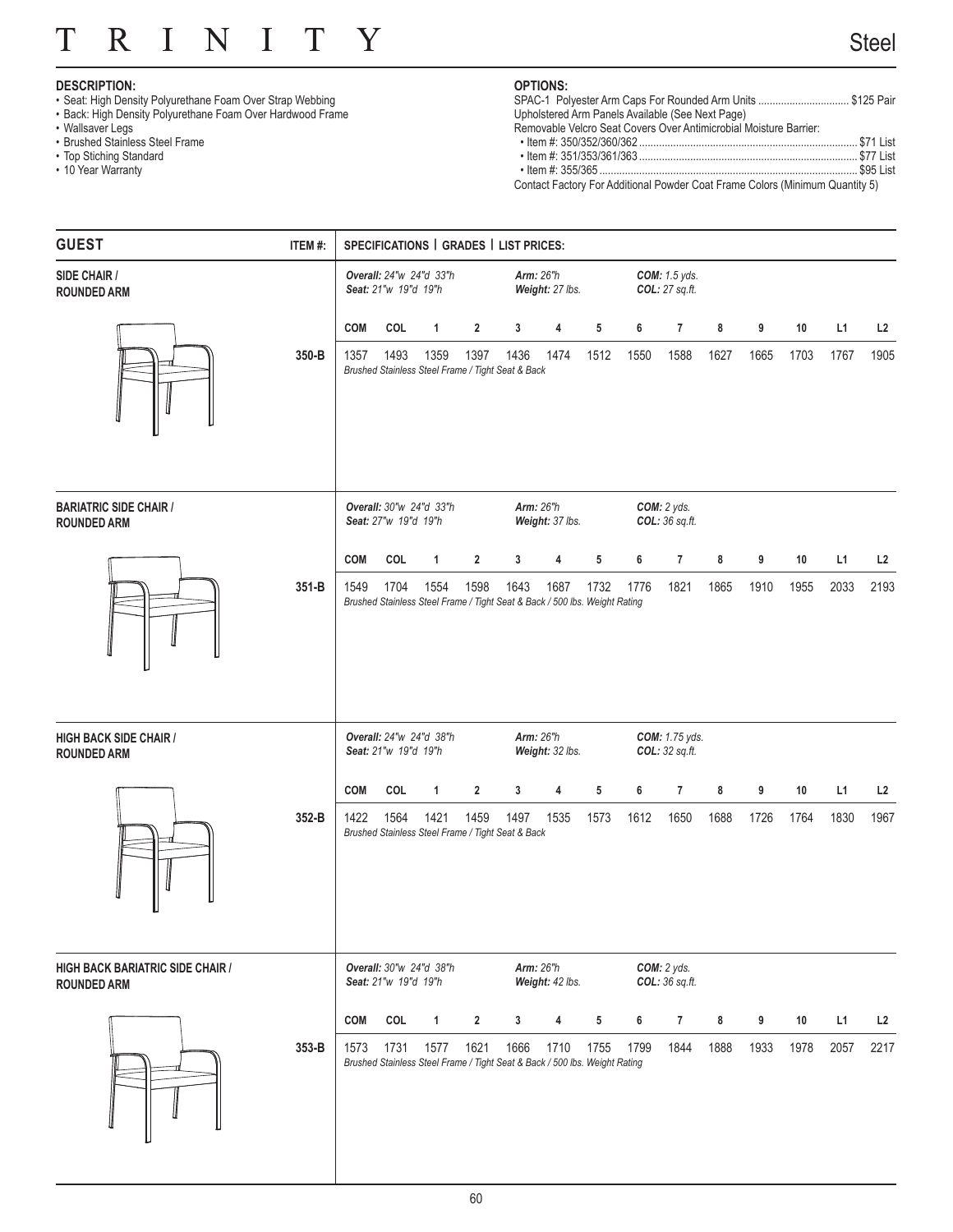#### T R  $\overline{I}$ N  $\mathbf I$ T Y

## **DESCRIPTION:**

- Seat: High Density Polyurethane Foam Over Strap Webbing
- Back: High Density Polyurethane Foam Over Hardwood Frame
- Wallsaver Legs
- Brushed Stainless Steel Frame
- Top Stiching Standard
- 10 Year Warranty

## **OPTIONS:**

| SPAC-1 Polyester Arm Caps For Rounded Arm Units  \$125 Pair       |  |
|-------------------------------------------------------------------|--|
| Upholstered Arm Panels Available (See Next Page)                  |  |
| Removable Velcro Seat Covers Over Antimicrobial Moisture Barrier: |  |
|                                                                   |  |
|                                                                   |  |
|                                                                   |  |
|                                                                   |  |

Contact Factory For Additional Powder Coat Frame Colors (Minimum Quantity 5)

| <b>GUEST</b>                                                  | ITEM #: |            | SPECIFICATIONS   GRADES   LIST PRICES: |                         |                |                                                                                    |                                     |            |      |                                        |      |      |      |      |      |
|---------------------------------------------------------------|---------|------------|----------------------------------------|-------------------------|----------------|------------------------------------------------------------------------------------|-------------------------------------|------------|------|----------------------------------------|------|------|------|------|------|
| SIDE CHAIR /<br><b>ROUNDED ARM</b>                            |         |            | Seat: 21"w 19"d 19"h                   | Overall: 24"w 24"d 33"h |                |                                                                                    | <b>Arm: 26"h</b><br>Weight: 27 lbs. |            |      | <b>COM:</b> 1.5 yds.<br>COL: 27 sq.ft. |      |      |      |      |      |
|                                                               |         | <b>COM</b> | COL                                    | $\mathbf{1}$            | $\overline{2}$ | 3                                                                                  | 4                                   | 5          | 6    | $\overline{7}$                         | 8    | 9    | 10   | L1   | L2   |
|                                                               | 350-B   | 1357       | 1493                                   | 1359                    | 1397           | 1436<br>Brushed Stainless Steel Frame / Tight Seat & Back                          | 1474                                | 1512       | 1550 | 1588                                   | 1627 | 1665 | 1703 | 1767 | 1905 |
| <b>BARIATRIC SIDE CHAIR /</b><br><b>ROUNDED ARM</b>           |         |            | Seat: 27"w 19"d 19"h                   | Overall: 30"w 24"d 33"h |                |                                                                                    | <b>Arm: 26"h</b><br>Weight: 37 lbs. |            |      | COM: 2 yds.<br>COL: 36 sq.ft.          |      |      |      |      |      |
|                                                               |         | <b>COM</b> | COL                                    | $\mathbf{1}$            | $\overline{2}$ | 3                                                                                  | 4                                   | $\sqrt{5}$ | 6    | 7                                      | 8    | 9    | 10   | L1   | L2   |
|                                                               | 351-B   | 1549       | 1704                                   | 1554                    | 1598           | 1643<br>Brushed Stainless Steel Frame / Tight Seat & Back / 500 lbs. Weight Rating | 1687                                | 1732       | 1776 | 1821                                   | 1865 | 1910 | 1955 | 2033 | 2193 |
| <b>HIGH BACK SIDE CHAIR /</b><br><b>ROUNDED ARM</b>           |         |            | Seat: 21"w 19"d 19"h                   | Overall: 24"w 24"d 38"h |                |                                                                                    | <b>Arm: 26"h</b><br>Weight: 32 lbs. |            |      | COM: 1.75 yds.<br>COL: 32 sq.ft.       |      |      |      |      |      |
|                                                               |         | <b>COM</b> | COL                                    | $\mathbf{1}$            | $\overline{2}$ | 3                                                                                  | 4                                   | $\sqrt{5}$ | 6    | $\overline{7}$                         | 8    | 9    | 10   | L1   | L2   |
|                                                               | 352-B   | 1422       | 1564                                   | 1421                    | 1459           | 1497<br>Brushed Stainless Steel Frame / Tight Seat & Back                          | 1535                                | 1573       | 1612 | 1650                                   | 1688 | 1726 | 1764 | 1830 | 1967 |
| <b>HIGH BACK BARIATRIC SIDE CHAIR /</b><br><b>ROUNDED ARM</b> |         |            | Seat: 21"w 19"d 19"h                   | Overall: 30"w 24"d 38"h |                |                                                                                    | <b>Arm: 26"h</b><br>Weight: 42 lbs. |            |      | COM: 2 yds.<br>COL: 36 sq.ft.          |      |      |      |      |      |
|                                                               |         | <b>COM</b> | COL                                    | $\mathbf{1}$            | $\overline{2}$ | 3                                                                                  | 4                                   | $\sqrt{5}$ | 6    | $\overline{7}$                         | 8    | 9    | 10   | L1   | L2   |
|                                                               | 353-B   | 1573       | 1731                                   | 1577                    | 1621           | 1666<br>Brushed Stainless Steel Frame / Tight Seat & Back / 500 lbs. Weight Rating | 1710                                | 1755       | 1799 | 1844                                   | 1888 | 1933 | 1978 | 2057 | 2217 |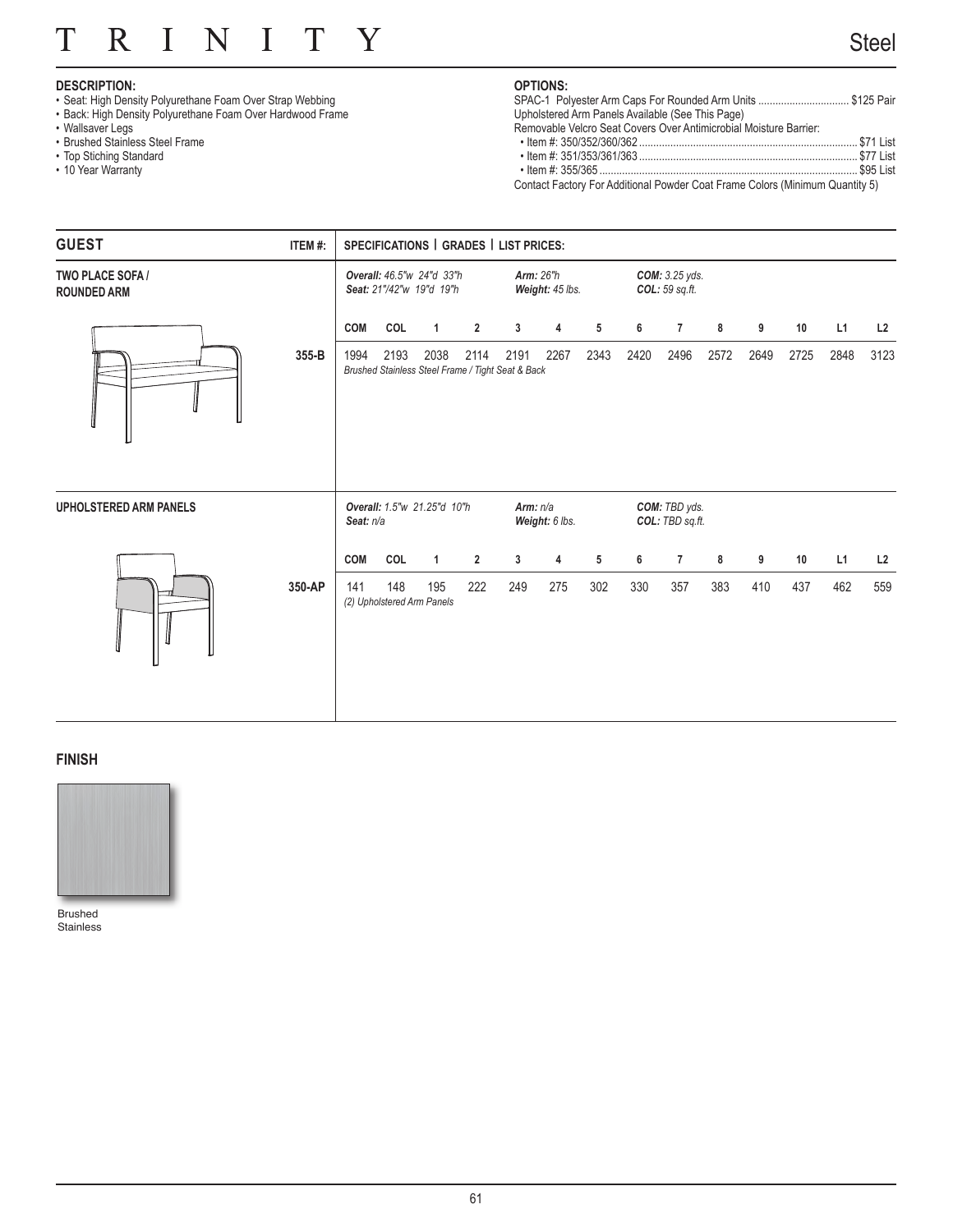#### N R  $\overline{I}$  $\mathbf I$ T Y T

## **DESCRIPTION:**

- Seat: High Density Polyurethane Foam Over Strap Webbing
- Back: High Density Polyurethane Foam Over Hardwood Frame
- Wallsaver Legs
- Brushed Stainless Steel Frame
- Top Stiching Standard
- 10 Year Warranty

## **OPTIONS:**

| SPAC-1 Polyester Arm Caps For Rounded Arm Units \$125 Pair        |  |
|-------------------------------------------------------------------|--|
| Upholstered Arm Panels Available (See This Page)                  |  |
| Removable Velcro Seat Covers Over Antimicrobial Moisture Barrier: |  |
|                                                                   |  |
|                                                                   |  |
|                                                                   |  |

Contact Factory For Additional Powder Coat Frame Colors (Minimum Quantity 5)

| <b>GUEST</b>                           | ITEM#: |            | SPECIFICATIONS   GRADES   LIST PRICES: |                                                           |                |            |                                     |      |      |                                         |      |      |      |      |      |
|----------------------------------------|--------|------------|----------------------------------------|-----------------------------------------------------------|----------------|------------|-------------------------------------|------|------|-----------------------------------------|------|------|------|------|------|
| TWO PLACE SOFA /<br><b>ROUNDED ARM</b> |        |            |                                        | Overall: 46.5"w 24"d 33"h<br>Seat: 21"/42"w 19"d 19"h     |                |            | <b>Arm: 26"h</b><br>Weight: 45 lbs. |      |      | <b>COM:</b> 3.25 yds.<br>COL: 59 sq.ft. |      |      |      |      |      |
|                                        |        | <b>COM</b> | COL                                    | $\mathbf{1}$                                              | $\overline{2}$ | 3          | 4                                   | 5    | 6    | 7                                       | 8    | 9    | 10   | L1   | L2   |
|                                        | 355-B  | 1994       | 2193                                   | 2038<br>Brushed Stainless Steel Frame / Tight Seat & Back | 2114           | 2191       | 2267                                | 2343 | 2420 | 2496                                    | 2572 | 2649 | 2725 | 2848 | 3123 |
| <b>UPHOLSTERED ARM PANELS</b>          |        | Seat: n/a  |                                        | Overall: 1.5"w 21.25"d 10"h                               |                | Arm: $n/a$ | Weight: 6 lbs.                      |      |      | COM: TBD yds.<br>COL: TBD sq.ft.        |      |      |      |      |      |
|                                        |        | <b>COM</b> | COL                                    | $\mathbf{1}$                                              | $\overline{2}$ | 3          | 4                                   | 5    | 6    | $\overline{7}$                          | 8    | 9    | 10   | L1   | L2   |
|                                        | 350-AP | 141        | 148                                    | 195<br>(2) Upholstered Arm Panels                         | 222            | 249        | 275                                 | 302  | 330  | 357                                     | 383  | 410  | 437  | 462  | 559  |

## **FINISH**



Brushed Stainless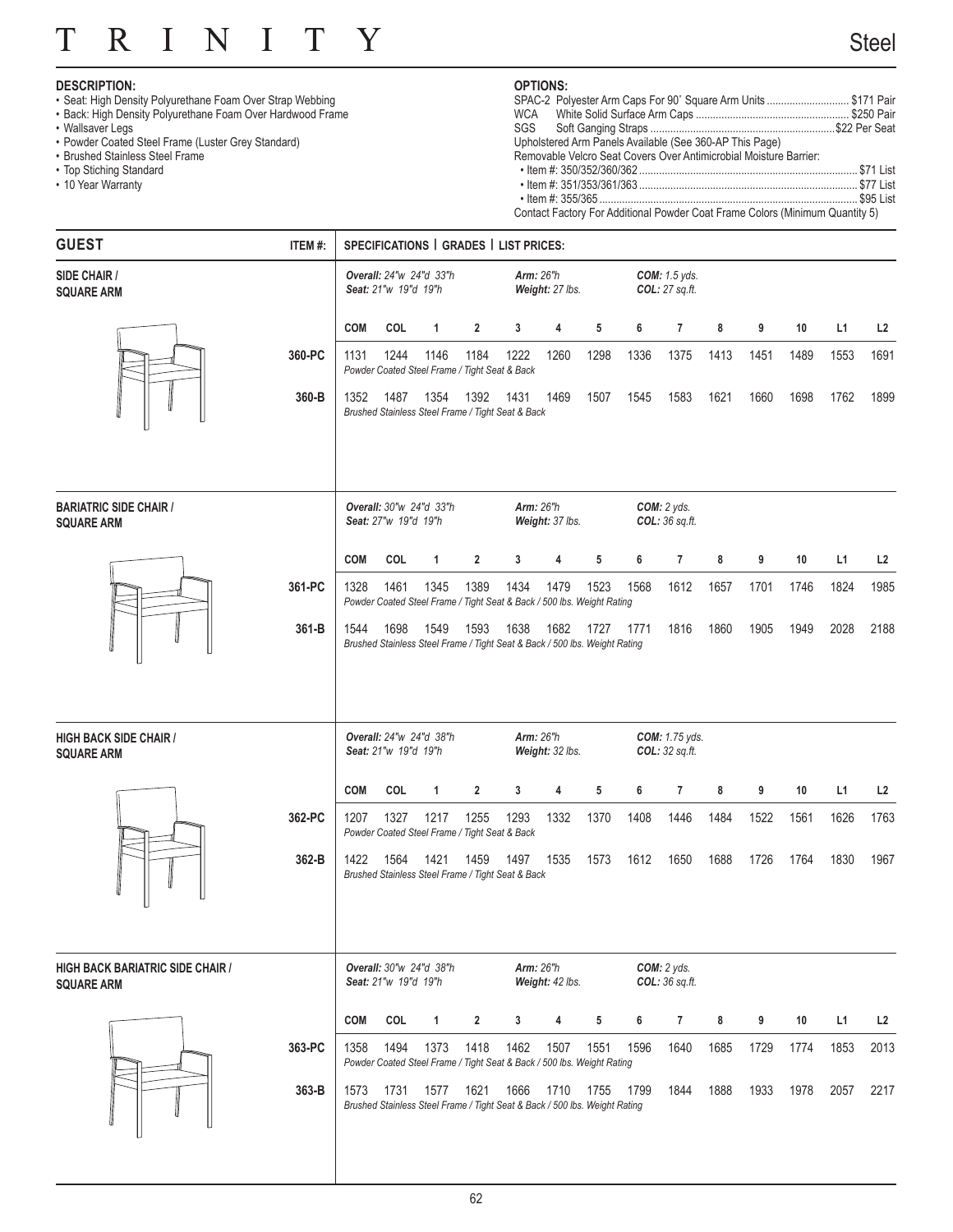#### T R  $\overline{I}$ N  $\mathbf I$ T Y

## **DESCRIPTION:**

- Seat: High Density Polyurethane Foam Over Strap Webbing
- Back: High Density Polyurethane Foam Over Hardwood Frame
- Wallsaver Legs
- Powder Coated Steel Frame (Luster Grey Standard)
- Brushed Stainless Steel Frame
- Top Stiching Standard
- 10 Year Warranty

## **OPTIONS:**

| SPAC-2 Polyester Arm Caps For 90° Square Arm Units \$171 Pair                |  |
|------------------------------------------------------------------------------|--|
|                                                                              |  |
|                                                                              |  |
| Upholstered Arm Panels Available (See 360-AP This Page)                      |  |
| Removable Velcro Seat Covers Over Antimicrobial Moisture Barrier:            |  |
|                                                                              |  |
|                                                                              |  |
|                                                                              |  |
| Contact Factory For Additional Powder Coat Frame Colors (Minimum Quantity 5) |  |

| <b>GUEST</b>                                                 | ITEM #: |            | SPECIFICATIONS   GRADES   LIST PRICES:          |              |                |                                                                                    |                                     |      |      |                                         |      |      |      |      |                |
|--------------------------------------------------------------|---------|------------|-------------------------------------------------|--------------|----------------|------------------------------------------------------------------------------------|-------------------------------------|------|------|-----------------------------------------|------|------|------|------|----------------|
| SIDE CHAIR /<br><b>SQUARE ARM</b>                            |         |            | Overall: 24"w 24"d 33"h<br>Seat: 21"w 19"d 19"h |              |                |                                                                                    | <b>Arm: 26"h</b><br>Weight: 27 lbs. |      |      | <b>COM:</b> 1.5 yds.<br>COL: 27 sq.ft.  |      |      |      |      |                |
|                                                              |         | <b>COM</b> | COL                                             | 1            | $\overline{2}$ | 3                                                                                  | 4                                   | 5    | 6    | $\overline{7}$                          | 8    | 9    | 10   | L1   | L <sub>2</sub> |
|                                                              | 360-PC  | 1131       | 1244                                            | 1146         | 1184           | 1222<br>Powder Coated Steel Frame / Tight Seat & Back                              | 1260                                | 1298 | 1336 | 1375                                    | 1413 | 1451 | 1489 | 1553 | 1691           |
|                                                              | 360-B   | 1352       | 1487                                            | 1354         | 1392           | 1431<br>Brushed Stainless Steel Frame / Tight Seat & Back                          | 1469                                | 1507 | 1545 | 1583                                    | 1621 | 1660 | 1698 | 1762 | 1899           |
| <b>BARIATRIC SIDE CHAIR /</b><br><b>SQUARE ARM</b>           |         |            | Overall: 30"w 24"d 33"h<br>Seat: 27"w 19"d 19"h |              |                |                                                                                    | <b>Arm: 26"h</b><br>Weight: 37 lbs. |      |      | COM: 2 yds.<br>COL: 36 sq.ft.           |      |      |      |      |                |
|                                                              |         | <b>COM</b> | COL                                             | 1            | 2              | 3                                                                                  | 4                                   | 5    | 6    | 7                                       | 8    | 9    | 10   | L1   | L <sub>2</sub> |
|                                                              | 361-PC  | 1328       | 1461                                            | 1345         | 1389           | 1434<br>Powder Coated Steel Frame / Tight Seat & Back / 500 lbs. Weight Rating     | 1479                                | 1523 | 1568 | 1612                                    | 1657 | 1701 | 1746 | 1824 | 1985           |
|                                                              | 361-B   | 1544       | 1698                                            | 1549         | 1593           | 1638<br>Brushed Stainless Steel Frame / Tight Seat & Back / 500 lbs. Weight Rating | 1682                                | 1727 | 1771 | 1816                                    | 1860 | 1905 | 1949 | 2028 | 2188           |
| <b>HIGH BACK SIDE CHAIR /</b><br><b>SQUARE ARM</b>           |         |            | Overall: 24"w 24"d 38"h<br>Seat: 21"w 19"d 19"h |              |                |                                                                                    | <b>Arm: 26"h</b><br>Weight: 32 lbs. |      |      | <b>COM:</b> 1.75 yds.<br>COL: 32 sq.ft. |      |      |      |      |                |
|                                                              |         | <b>COM</b> | COL                                             | 1            | $\overline{2}$ | 3                                                                                  | 4                                   | 5    | 6    | $\overline{7}$                          | 8    | 9    | 10   | L1   | L <sub>2</sub> |
|                                                              | 362-PC  | 1207       | 1327                                            | 1217         | 1255           | 1293<br>Powder Coated Steel Frame / Tight Seat & Back                              | 1332                                | 1370 | 1408 | 1446                                    | 1484 | 1522 | 1561 | 1626 | 1763           |
|                                                              | 362-B   | 1422       | 1564                                            | 1421         | 1459           | 1497<br>Brushed Stainless Steel Frame / Tight Seat & Back                          | 1535                                | 1573 | 1612 | 1650                                    | 1688 | 1726 | 1764 | 1830 | 1967           |
| <b>HIGH BACK BARIATRIC SIDE CHAIR /</b><br><b>SQUARE ARM</b> |         |            | Overall: 30"w 24"d 38"h<br>Seat: 21"w 19"d 19"h |              |                |                                                                                    | <b>Arm: 26"h</b><br>Weight: 42 lbs. |      |      | COM: 2 yds.<br>COL: 36 sq.ft.           |      |      |      |      |                |
|                                                              |         | <b>COM</b> | COL                                             | $\mathbf{1}$ | $\overline{2}$ | 3                                                                                  | 4                                   | 5    | 6    | $\overline{7}$                          | 8    | 9    | 10   | L1   | L <sub>2</sub> |
|                                                              | 363-PC  | 1358       | 1494                                            | 1373         | 1418           | 1462<br>Powder Coated Steel Frame / Tight Seat & Back / 500 lbs. Weight Rating     | 1507                                | 1551 | 1596 | 1640                                    | 1685 | 1729 | 1774 | 1853 | 2013           |
|                                                              | 363-B   | 1573       | 1731                                            | 1577         | 1621           | 1666<br>Brushed Stainless Steel Frame / Tight Seat & Back / 500 lbs. Weight Rating | 1710                                | 1755 | 1799 | 1844                                    | 1888 | 1933 | 1978 | 2057 | 2217           |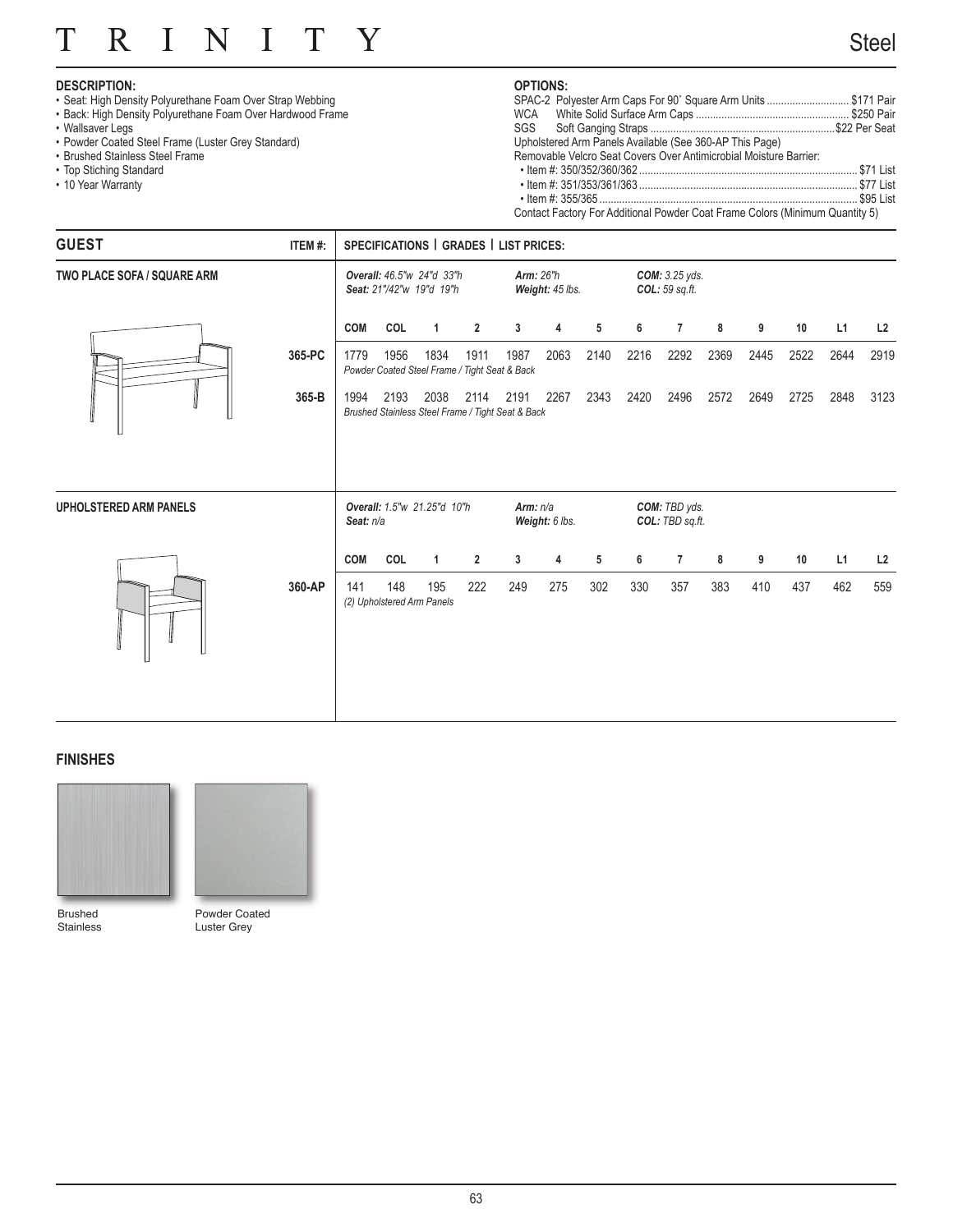#### R  $\mathbf I$ N  $\mathbf I$ T Y T

## **DESCRIPTION:**

- Seat: High Density Polyurethane Foam Over Strap Webbing
- Back: High Density Polyurethane Foam Over Hardwood Frame
- Wallsaver Legs
- Powder Coated Steel Frame (Luster Grey Standard)
- Brushed Stainless Steel Frame
- Top Stiching Standard
- 10 Year Warranty

## **OPTIONS:**

| SPAC-2 Polyester Arm Caps For 90° Square Arm Units \$171 Pair                |  |
|------------------------------------------------------------------------------|--|
|                                                                              |  |
|                                                                              |  |
| Upholstered Arm Panels Available (See 360-AP This Page)                      |  |
| Removable Velcro Seat Covers Over Antimicrobial Moisture Barrier:            |  |
|                                                                              |  |
|                                                                              |  |
|                                                                              |  |
| Contact Factory For Additional Powder Coat Frame Colors (Minimum Quantity 5) |  |

| <b>GUEST</b>                       | ITEM#: |            |      |                                                       |                | SPECIFICATIONS   GRADES   LIST PRICES:                         |                 |      |      |                                           |      |      |      |      |      |
|------------------------------------|--------|------------|------|-------------------------------------------------------|----------------|----------------------------------------------------------------|-----------------|------|------|-------------------------------------------|------|------|------|------|------|
| <b>TWO PLACE SOFA / SQUARE ARM</b> |        |            |      | Overall: 46.5"w 24"d 33"h<br>Seat: 21"/42"w 19"d 19"h |                | <b>Arm: 26"h</b>                                               | Weight: 45 lbs. |      |      | <b>COM:</b> 3.25 yds.<br>$COL: 59$ sq.ft. |      |      |      |      |      |
|                                    |        | <b>COM</b> | COL  | $\mathbf{1}$                                          | $\overline{2}$ | 3                                                              | 4               | 5    | 6    | $\overline{7}$                            | 8    | 9    | 10   | L1   | L2   |
|                                    | 365-PC | 1779       | 1956 | 1834                                                  | 1911           | 1987<br>Powder Coated Steel Frame / Tight Seat & Back          | 2063            | 2140 | 2216 | 2292                                      | 2369 | 2445 | 2522 | 2644 | 2919 |
|                                    | 365-B  | 1994       | 2193 | 2038                                                  |                | 2114 2191<br>Brushed Stainless Steel Frame / Tight Seat & Back | 2267            | 2343 | 2420 | 2496                                      | 2572 | 2649 | 2725 | 2848 | 3123 |
| <b>UPHOLSTERED ARM PANELS</b>      |        | Seat: n/a  |      | Overall: 1.5"w 21.25"d 10"h                           |                | Arm: $n/a$                                                     | Weight: 6 lbs.  |      |      | COM: TBD yds.<br>COL: TBD sq.ft.          |      |      |      |      |      |
|                                    |        | <b>COM</b> | COL  | $\mathbf{1}$                                          | $\overline{2}$ | 3                                                              | 4               | 5    | 6    | $\overline{7}$                            | 8    | 9    | 10   | L1   | L2   |
|                                    | 360-AP | 141        | 148  | 195<br>(2) Upholstered Arm Panels                     | 222            | 249                                                            | 275             | 302  | 330  | 357                                       | 383  | 410  | 437  | 462  | 559  |

## **FINISHES**



Brushed Stainless



Powder Coated Luster Grey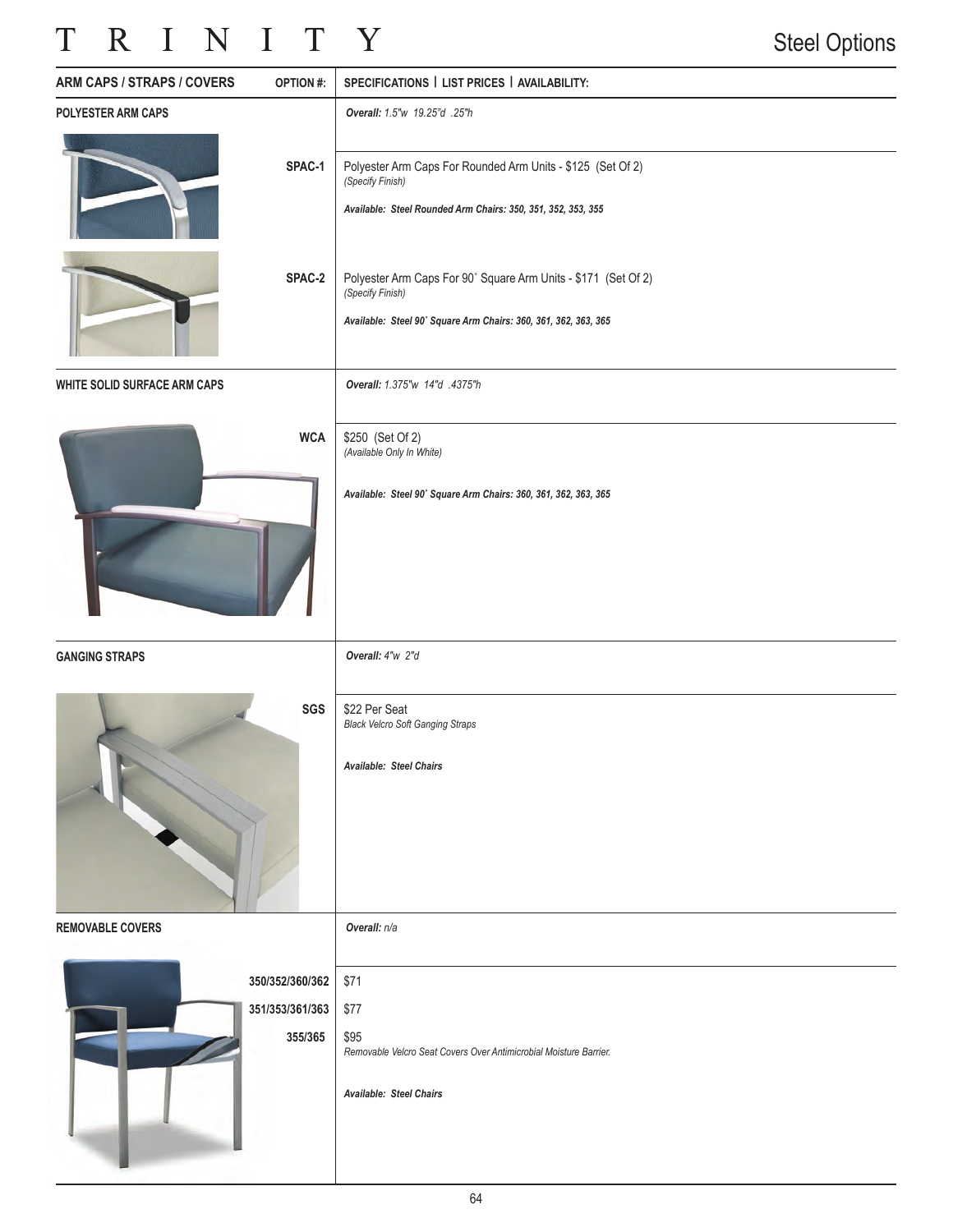## TRINITY

| ARM CAPS / STRAPS / COVERS   | <b>OPTION#:</b>                               | SPECIFICATIONS   LIST PRICES   AVAILABILITY:                                                                                                          |
|------------------------------|-----------------------------------------------|-------------------------------------------------------------------------------------------------------------------------------------------------------|
| POLYESTER ARM CAPS           |                                               | Overall: 1.5"w 19.25"d .25"h                                                                                                                          |
|                              | SPAC-1                                        | Polyester Arm Caps For Rounded Arm Units - \$125 (Set Of 2)<br>(Specify Finish)<br>Available: Steel Rounded Arm Chairs: 350, 351, 352, 353, 355       |
|                              | SPAC-2                                        | Polyester Arm Caps For 90° Square Arm Units - \$171 (Set Of 2)<br>(Specify Finish)<br>Available: Steel 90° Square Arm Chairs: 360, 361, 362, 363, 365 |
| WHITE SOLID SURFACE ARM CAPS |                                               | Overall: 1.375"w 14"d .4375"h                                                                                                                         |
|                              | <b>WCA</b>                                    | \$250 (Set Of 2)<br>(Available Only In White)<br>Available: Steel 90° Square Arm Chairs: 360, 361, 362, 363, 365                                      |
|                              |                                               |                                                                                                                                                       |
| <b>GANGING STRAPS</b>        |                                               | Overall: 4"w 2"d                                                                                                                                      |
|                              | SGS                                           | \$22 Per Seat<br><b>Black Velcro Soft Ganging Straps</b><br><b>Available: Steel Chairs</b>                                                            |
| <b>REMOVABLE COVERS</b>      |                                               | Overall: n/a                                                                                                                                          |
|                              | 350/352/360/362<br>351/353/361/363<br>355/365 | \$71<br>\$77<br>\$95<br>Removable Velcro Seat Covers Over Antimicrobial Moisture Barrier.<br>Available: Steel Chairs                                  |